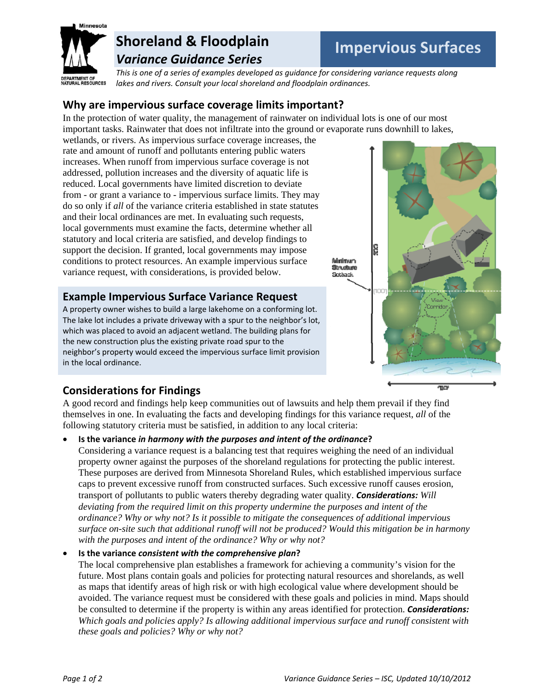

# **Shoreland & Floodplain**  *Variance Guidance Series*

*This is one of a series of examples developed as guidance for considering variance requests along lakes and rivers. Consult your local shoreland and floodplain ordinances.*

## **Why are impervious surface coverage limits important?**

In the protection of water quality, the management of rainwater on individual lots is one of our most important tasks. Rainwater that does not infiltrate into the ground or evaporate runs downhill to lakes,

wetlands, or rivers. As impervious surface coverage increases, the rate and amount of runoff and pollutants entering public waters increases. When runoff from impervious surface coverage is not addressed, pollution increases and the diversity of aquatic life is reduced. Local governments have limited discretion to deviate from - or grant a variance to - impervious surface limits. They may do so only if *all* of the variance criteria established in state statutes and their local ordinances are met. In evaluating such requests, local governments must examine the facts, determine whether all statutory and local criteria are satisfied, and develop findings to support the decision. If granted, local governments may impose conditions to protect resources. An example impervious surface variance request, with considerations, is provided below.

## **Example Impervious Surface Variance Request**

A property owner wishes to build a large lakehome on a conforming lot. The lake lot includes a private driveway with a spur to the neighbor's lot, which was placed to avoid an adjacent wetland. The building plans for the new construction plus the existing private road spur to the neighbor's property would exceed the impervious surface limit provision in the local ordinance.



# **Considerations for Findings**

A good record and findings help keep communities out of lawsuits and help them prevail if they find themselves in one. In evaluating the facts and developing findings for this variance request, *all* of the following statutory criteria must be satisfied, in addition to any local criteria:

#### **Is the variance** *in harmony with the purposes and intent of the ordinance***?**

Considering a variance request is a balancing test that requires weighing the need of an individual property owner against the purposes of the shoreland regulations for protecting the public interest. These purposes are derived from Minnesota Shoreland Rules, which established impervious surface caps to prevent excessive runoff from constructed surfaces. Such excessive runoff causes erosion, transport of pollutants to public waters thereby degrading water quality. *Considerations: Will deviating from the required limit on this property undermine the purposes and intent of the ordinance? Why or why not? Is it possible to mitigate the consequences of additional impervious surface on-site such that additional runoff will not be produced? Would this mitigation be in harmony with the purposes and intent of the ordinance? Why or why not?* 

#### **Is the variance** *consistent with the comprehensive plan***?**

The local comprehensive plan establishes a framework for achieving a community's vision for the future. Most plans contain goals and policies for protecting natural resources and shorelands, as well as maps that identify areas of high risk or with high ecological value where development should be avoided. The variance request must be considered with these goals and policies in mind. Maps should be consulted to determine if the property is within any areas identified for protection. *Considerations: Which goals and policies apply? Is allowing additional impervious surface and runoff consistent with these goals and policies? Why or why not?*